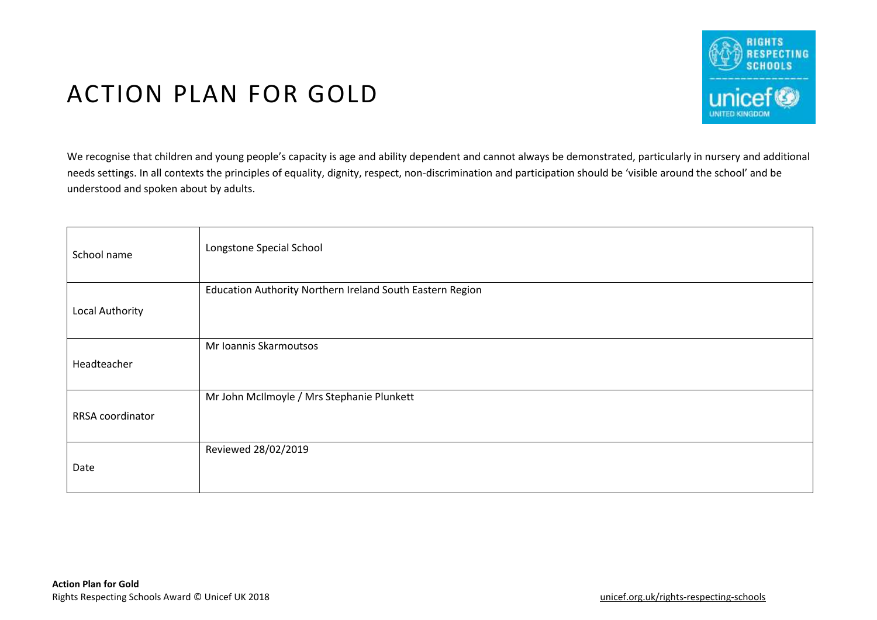

## ACTION PLAN FOR GOLD

We recognise that children and young people's capacity is age and ability dependent and cannot always be demonstrated, particularly in nursery and additional needs settings. In all contexts the principles of equality, dignity, respect, non-discrimination and participation should be 'visible around the school' and be understood and spoken about by adults.

| School name            | Longstone Special School                                  |
|------------------------|-----------------------------------------------------------|
| <b>Local Authority</b> | Education Authority Northern Ireland South Eastern Region |
| Headteacher            | Mr Ioannis Skarmoutsos                                    |
| RRSA coordinator       | Mr John McIlmoyle / Mrs Stephanie Plunkett                |
| Date                   | Reviewed 28/02/2019                                       |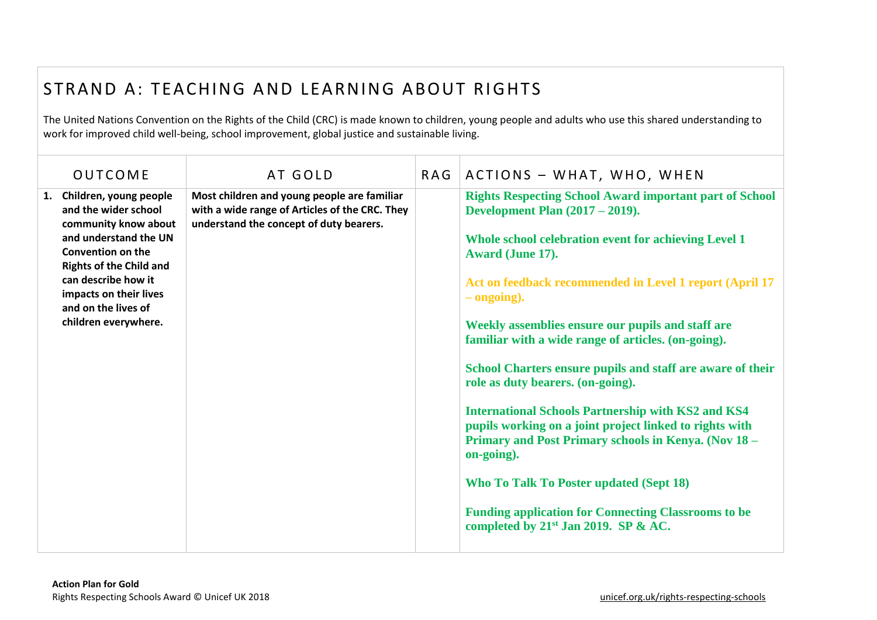## STRAND A: TEACHING AND LEARNING ABOUT RIGHTS

The United Nations Convention on the Rights of the Child (CRC) is made known to children, young people and adults who use this shared understanding to work for improved child well-being, school improvement, global justice and sustainable living.

| <b>OUTCOME</b>                                                                                                                                                                                                                                                   | AT GOLD                                                                                                                                  | RAG | ACTIONS - WHAT, WHO, WHEN                                                                                                                                                                                                                                                                                                                                                                                                                                                                                                                                                                                                                                                                                                                                                                                                               |
|------------------------------------------------------------------------------------------------------------------------------------------------------------------------------------------------------------------------------------------------------------------|------------------------------------------------------------------------------------------------------------------------------------------|-----|-----------------------------------------------------------------------------------------------------------------------------------------------------------------------------------------------------------------------------------------------------------------------------------------------------------------------------------------------------------------------------------------------------------------------------------------------------------------------------------------------------------------------------------------------------------------------------------------------------------------------------------------------------------------------------------------------------------------------------------------------------------------------------------------------------------------------------------------|
| 1. Children, young people<br>and the wider school<br>community know about<br>and understand the UN<br><b>Convention on the</b><br><b>Rights of the Child and</b><br>can describe how it<br>impacts on their lives<br>and on the lives of<br>children everywhere. | Most children and young people are familiar<br>with a wide range of Articles of the CRC. They<br>understand the concept of duty bearers. |     | <b>Rights Respecting School Award important part of School</b><br><b>Development Plan (2017 – 2019).</b><br>Whole school celebration event for achieving Level 1<br>Award (June 17).<br>Act on feedback recommended in Level 1 report (April 17<br>$-$ ongoing).<br>Weekly assemblies ensure our pupils and staff are<br>familiar with a wide range of articles. (on-going).<br>School Charters ensure pupils and staff are aware of their<br>role as duty bearers. (on-going).<br><b>International Schools Partnership with KS2 and KS4</b><br>pupils working on a joint project linked to rights with<br>Primary and Post Primary schools in Kenya. (Nov 18 -<br>on-going).<br><b>Who To Talk To Poster updated (Sept 18)</b><br><b>Funding application for Connecting Classrooms to be</b><br>completed by $21st$ Jan 2019. SP & AC. |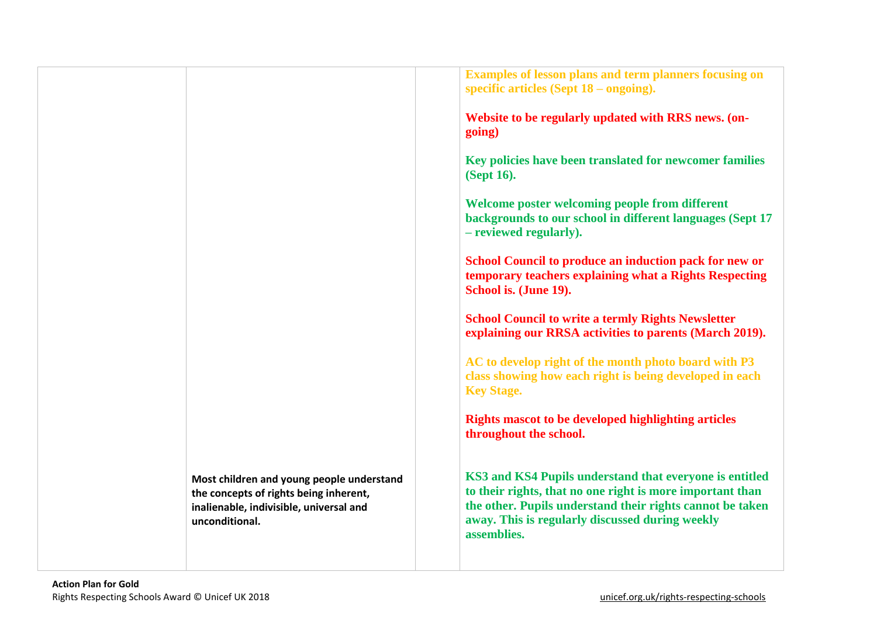|                                                                                                                                                  | <b>Examples of lesson plans and term planners focusing on</b><br>specific articles (Sept $18$ – ongoing).                                                                                                                                           |
|--------------------------------------------------------------------------------------------------------------------------------------------------|-----------------------------------------------------------------------------------------------------------------------------------------------------------------------------------------------------------------------------------------------------|
|                                                                                                                                                  | Website to be regularly updated with RRS news. (on-<br>going)                                                                                                                                                                                       |
|                                                                                                                                                  | Key policies have been translated for newcomer families<br>(Sept 16).                                                                                                                                                                               |
|                                                                                                                                                  | Welcome poster welcoming people from different<br>backgrounds to our school in different languages (Sept 17<br>- reviewed regularly).                                                                                                               |
|                                                                                                                                                  | School Council to produce an induction pack for new or<br>temporary teachers explaining what a Rights Respecting<br>School is. (June 19).                                                                                                           |
|                                                                                                                                                  | <b>School Council to write a termly Rights Newsletter</b><br>explaining our RRSA activities to parents (March 2019).                                                                                                                                |
|                                                                                                                                                  | AC to develop right of the month photo board with P3<br>class showing how each right is being developed in each<br><b>Key Stage.</b>                                                                                                                |
|                                                                                                                                                  | <b>Rights mascot to be developed highlighting articles</b><br>throughout the school.                                                                                                                                                                |
| Most children and young people understand<br>the concepts of rights being inherent,<br>inalienable, indivisible, universal and<br>unconditional. | KS3 and KS4 Pupils understand that everyone is entitled<br>to their rights, that no one right is more important than<br>the other. Pupils understand their rights cannot be taken<br>away. This is regularly discussed during weekly<br>assemblies. |
|                                                                                                                                                  |                                                                                                                                                                                                                                                     |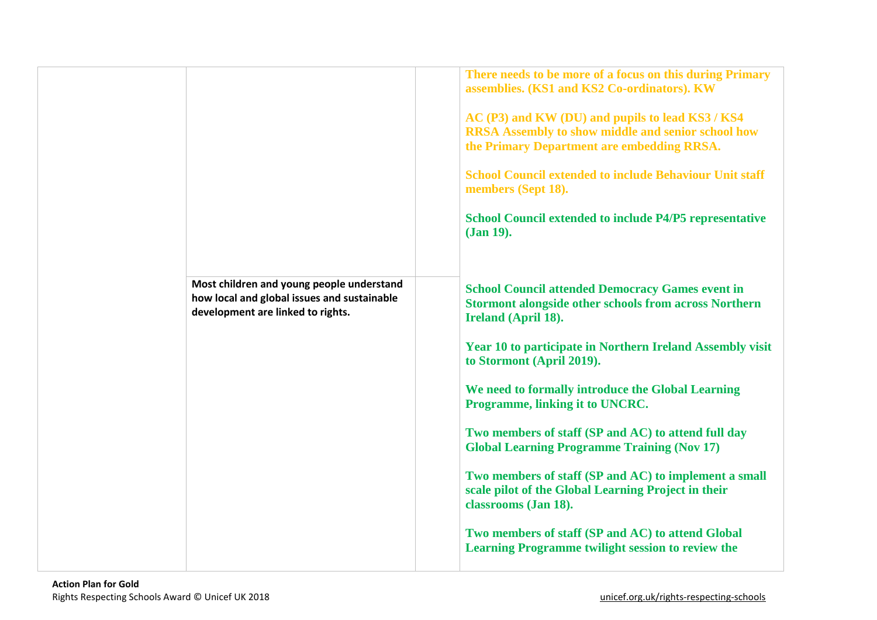|                                                                                  | There needs to be more of a focus on this during Primary<br>assemblies. (KS1 and KS2 Co-ordinators). KW                                                     |
|----------------------------------------------------------------------------------|-------------------------------------------------------------------------------------------------------------------------------------------------------------|
|                                                                                  | AC (P3) and KW (DU) and pupils to lead KS3 / KS4<br><b>RRSA Assembly to show middle and senior school how</b><br>the Primary Department are embedding RRSA. |
|                                                                                  | <b>School Council extended to include Behaviour Unit staff</b><br>members (Sept 18).                                                                        |
|                                                                                  | <b>School Council extended to include P4/P5 representative</b><br>(Jan 19).                                                                                 |
| Most children and young people understand                                        |                                                                                                                                                             |
| how local and global issues and sustainable<br>development are linked to rights. | <b>School Council attended Democracy Games event in</b><br><b>Stormont alongside other schools from across Northern</b><br>Ireland (April 18).              |
|                                                                                  | <b>Year 10 to participate in Northern Ireland Assembly visit</b><br>to Stormont (April 2019).                                                               |
|                                                                                  | We need to formally introduce the Global Learning<br>Programme, linking it to UNCRC.                                                                        |
|                                                                                  | Two members of staff (SP and AC) to attend full day<br><b>Global Learning Programme Training (Nov 17)</b>                                                   |
|                                                                                  | Two members of staff (SP and AC) to implement a small<br>scale pilot of the Global Learning Project in their<br>classrooms (Jan 18).                        |
|                                                                                  | Two members of staff (SP and AC) to attend Global<br><b>Learning Programme twilight session to review the</b>                                               |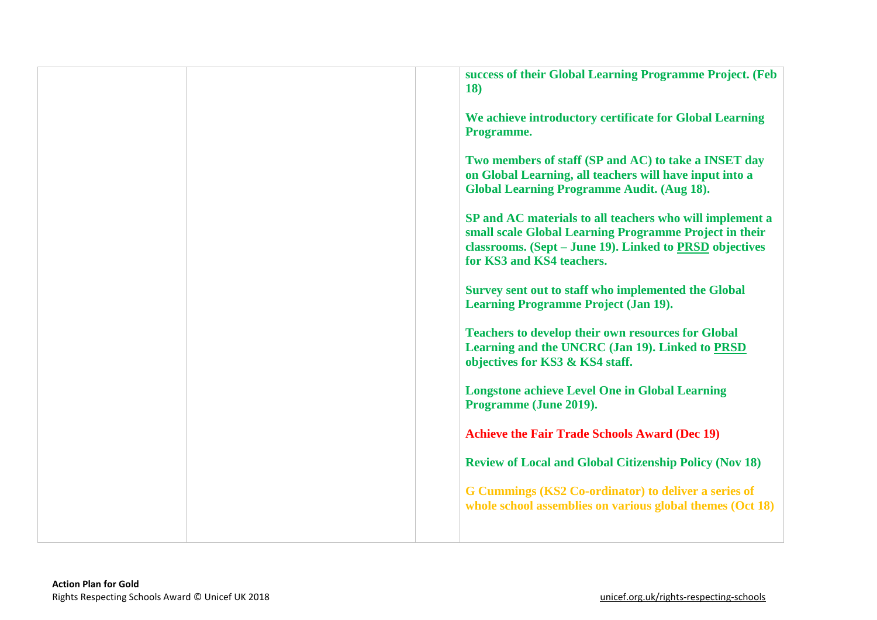|  | success of their Global Learning Programme Project. (Feb<br><b>18</b> )                                                                                                                                    |
|--|------------------------------------------------------------------------------------------------------------------------------------------------------------------------------------------------------------|
|  | We achieve introductory certificate for Global Learning<br>Programme.                                                                                                                                      |
|  | Two members of staff (SP and AC) to take a INSET day<br>on Global Learning, all teachers will have input into a<br><b>Global Learning Programme Audit. (Aug 18).</b>                                       |
|  | SP and AC materials to all teachers who will implement a<br>small scale Global Learning Programme Project in their<br>classrooms. (Sept – June 19). Linked to PRSD objectives<br>for KS3 and KS4 teachers. |
|  | Survey sent out to staff who implemented the Global<br><b>Learning Programme Project (Jan 19).</b>                                                                                                         |
|  | <b>Teachers to develop their own resources for Global</b><br>Learning and the UNCRC (Jan 19). Linked to PRSD<br>objectives for KS3 & KS4 staff.                                                            |
|  | <b>Longstone achieve Level One in Global Learning</b><br>Programme (June 2019).                                                                                                                            |
|  | <b>Achieve the Fair Trade Schools Award (Dec 19)</b>                                                                                                                                                       |
|  | <b>Review of Local and Global Citizenship Policy (Nov 18)</b>                                                                                                                                              |
|  | G Cummings (KS2 Co-ordinator) to deliver a series of<br>whole school assemblies on various global themes (Oct 18)                                                                                          |
|  |                                                                                                                                                                                                            |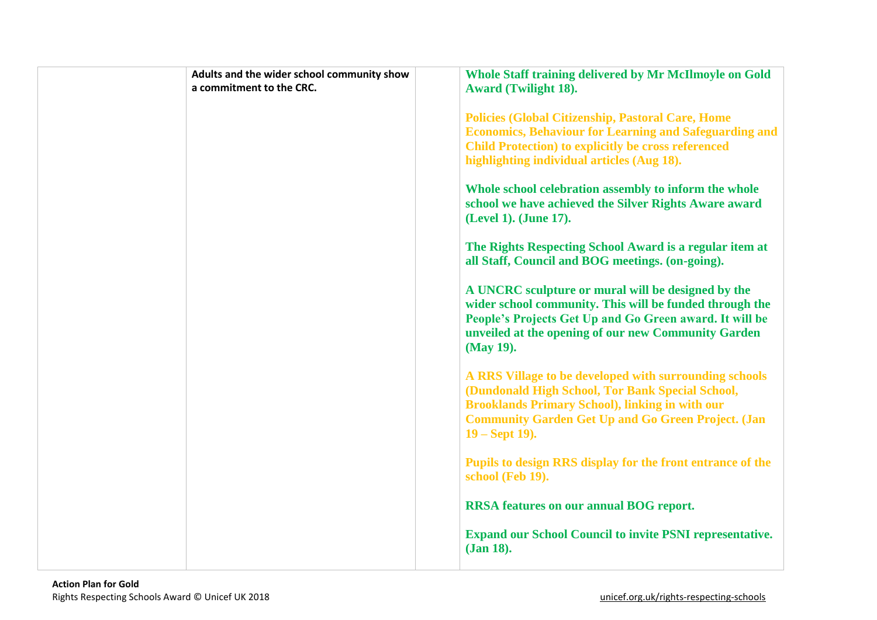| Adults and the wider school community show | Whole Staff training delivered by Mr McIlmoyle on Gold                                                                                                                                                                                                 |
|--------------------------------------------|--------------------------------------------------------------------------------------------------------------------------------------------------------------------------------------------------------------------------------------------------------|
| a commitment to the CRC.                   | <b>Award (Twilight 18).</b>                                                                                                                                                                                                                            |
|                                            | <b>Policies (Global Citizenship, Pastoral Care, Home</b><br><b>Economics, Behaviour for Learning and Safeguarding and</b><br><b>Child Protection) to explicitly be cross referenced</b><br>highlighting individual articles (Aug 18).                  |
|                                            | Whole school celebration assembly to inform the whole<br>school we have achieved the Silver Rights Aware award<br>(Level 1). (June 17).                                                                                                                |
|                                            | The Rights Respecting School Award is a regular item at<br>all Staff, Council and BOG meetings. (on-going).                                                                                                                                            |
|                                            | A UNCRC sculpture or mural will be designed by the<br>wider school community. This will be funded through the<br>People's Projects Get Up and Go Green award. It will be<br>unveiled at the opening of our new Community Garden<br>(May 19).           |
|                                            | A RRS Village to be developed with surrounding schools<br>(Dundonald High School, Tor Bank Special School,<br><b>Brooklands Primary School), linking in with our</b><br><b>Community Garden Get Up and Go Green Project. (Jan</b><br>$19 - Sept 19$ ). |
|                                            | Pupils to design RRS display for the front entrance of the<br>school (Feb 19).                                                                                                                                                                         |
|                                            | <b>RRSA</b> features on our annual BOG report.                                                                                                                                                                                                         |
|                                            | <b>Expand our School Council to invite PSNI representative.</b><br>(Jan 18).                                                                                                                                                                           |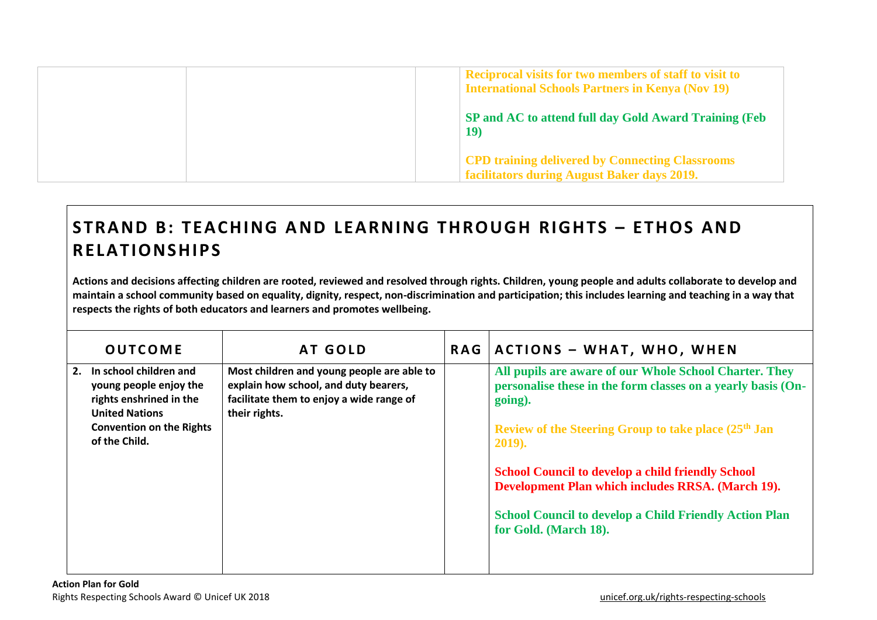| <b>Reciprocal visits for two members of staff to visit to</b><br><b>International Schools Partners in Kenya (Nov 19)</b> |
|--------------------------------------------------------------------------------------------------------------------------|
| SP and AC to attend full day Gold Award Training (Feb)<br><b>19</b>                                                      |
| <b>CPD training delivered by Connecting Classrooms</b><br>facilitators during August Baker days 2019.                    |

## **STRAND B: TEACHING AND LEARNING THROUGH RIGHTS - ETHOS AND RELA TIONS HIP S**

**Actions and decisions affecting children are rooted, reviewed and resolved through rights. Children, young people and adults collaborate to develop and maintain a school community based on equality, dignity, respect, non-discrimination and participation; this includes learning and teaching in a way that respects the rights of both educators and learners and promotes wellbeing.**

| <b>OUTCOME</b>                                                                                             | AT GOLD                                                                                                                                          | <b>RAG</b> | <b>ACTIONS - WHAT, WHO, WHEN</b>                                                                                                  |
|------------------------------------------------------------------------------------------------------------|--------------------------------------------------------------------------------------------------------------------------------------------------|------------|-----------------------------------------------------------------------------------------------------------------------------------|
| In school children and<br>2.<br>young people enjoy the<br>rights enshrined in the<br><b>United Nations</b> | Most children and young people are able to<br>explain how school, and duty bearers,<br>facilitate them to enjoy a wide range of<br>their rights. |            | All pupils are aware of our Whole School Charter. They<br>personalise these in the form classes on a yearly basis (On-<br>going). |
| <b>Convention on the Rights</b><br>of the Child.                                                           |                                                                                                                                                  |            | Review of the Steering Group to take place (25 <sup>th</sup> Jan<br>2019).                                                        |
|                                                                                                            |                                                                                                                                                  |            | <b>School Council to develop a child friendly School</b><br>Development Plan which includes RRSA. (March 19).                     |
|                                                                                                            |                                                                                                                                                  |            | <b>School Council to develop a Child Friendly Action Plan</b><br>for Gold. (March 18).                                            |
|                                                                                                            |                                                                                                                                                  |            |                                                                                                                                   |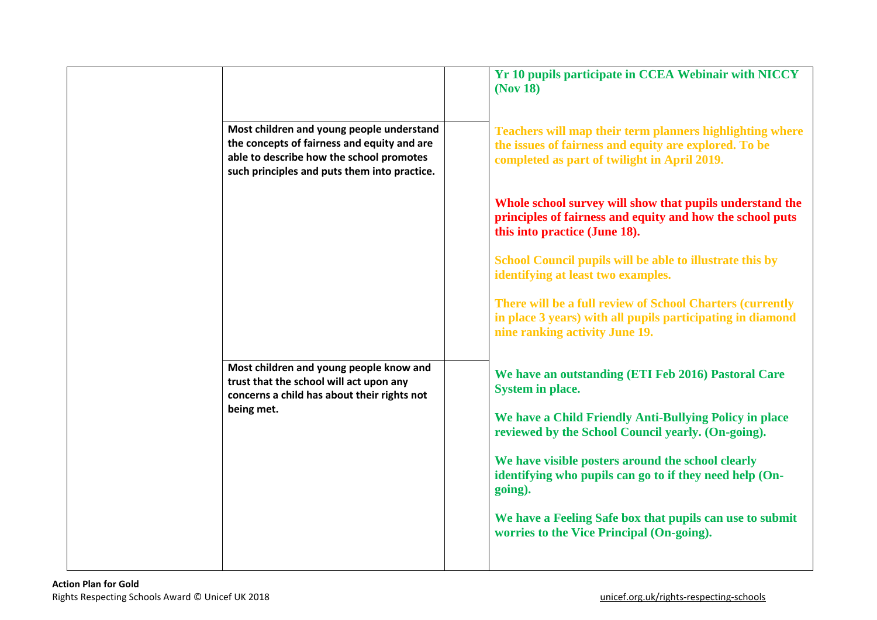|                                                                                                                                                                                      | Yr 10 pupils participate in CCEA Webinair with NICCY<br>(Nov 18)                                                                                                  |
|--------------------------------------------------------------------------------------------------------------------------------------------------------------------------------------|-------------------------------------------------------------------------------------------------------------------------------------------------------------------|
| Most children and young people understand<br>the concepts of fairness and equity and are<br>able to describe how the school promotes<br>such principles and puts them into practice. | Teachers will map their term planners highlighting where<br>the issues of fairness and equity are explored. To be<br>completed as part of twilight in April 2019. |
|                                                                                                                                                                                      | Whole school survey will show that pupils understand the<br>principles of fairness and equity and how the school puts<br>this into practice (June 18).            |
|                                                                                                                                                                                      | School Council pupils will be able to illustrate this by<br>identifying at least two examples.                                                                    |
|                                                                                                                                                                                      | There will be a full review of School Charters (currently<br>in place 3 years) with all pupils participating in diamond<br>nine ranking activity June 19.         |
| Most children and young people know and<br>trust that the school will act upon any<br>concerns a child has about their rights not                                                    | We have an outstanding (ETI Feb 2016) Pastoral Care<br><b>System in place.</b>                                                                                    |
| being met.                                                                                                                                                                           | We have a Child Friendly Anti-Bullying Policy in place<br>reviewed by the School Council yearly. (On-going).                                                      |
|                                                                                                                                                                                      | We have visible posters around the school clearly<br>identifying who pupils can go to if they need help (On-<br>going).                                           |
|                                                                                                                                                                                      | We have a Feeling Safe box that pupils can use to submit<br>worries to the Vice Principal (On-going).                                                             |
|                                                                                                                                                                                      |                                                                                                                                                                   |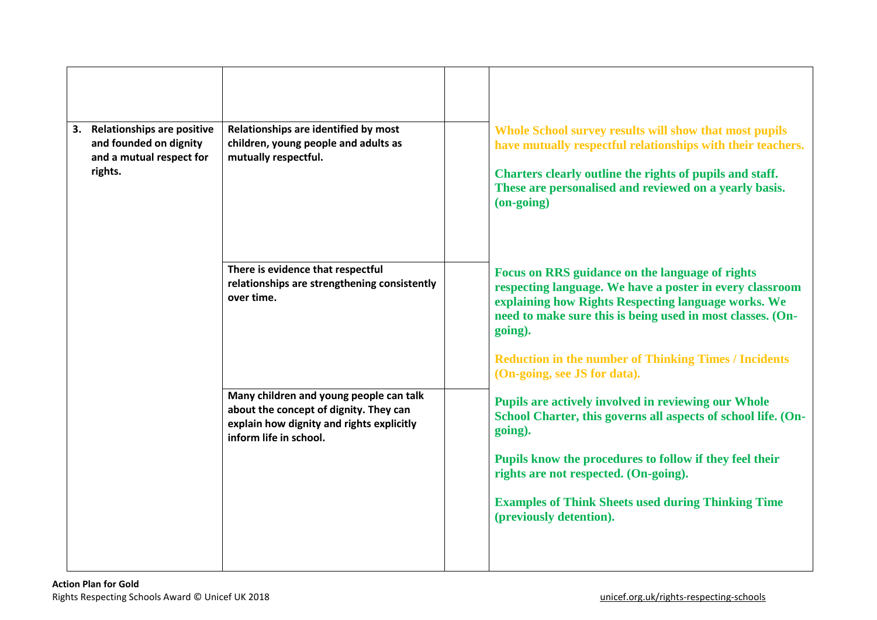| Relationships are identified by most<br>children, young people and adults as<br>mutually respectful.                                                     | Whole School survey results will show that most pupils<br>have mutually respectful relationships with their teachers.<br>Charters clearly outline the rights of pupils and staff.<br>These are personalised and reviewed on a yearly basis.<br>(on-going)                                                                                                          |
|----------------------------------------------------------------------------------------------------------------------------------------------------------|--------------------------------------------------------------------------------------------------------------------------------------------------------------------------------------------------------------------------------------------------------------------------------------------------------------------------------------------------------------------|
| There is evidence that respectful<br>relationships are strengthening consistently<br>over time.                                                          | <b>Focus on RRS guidance on the language of rights</b><br>respecting language. We have a poster in every classroom<br>explaining how Rights Respecting language works. We<br>need to make sure this is being used in most classes. (On-<br>going).<br><b>Reduction in the number of Thinking Times / Incidents</b>                                                 |
| Many children and young people can talk<br>about the concept of dignity. They can<br>explain how dignity and rights explicitly<br>inform life in school. | (On-going, see JS for data).<br><b>Pupils are actively involved in reviewing our Whole</b><br>School Charter, this governs all aspects of school life. (On-<br>going).<br>Pupils know the procedures to follow if they feel their<br>rights are not respected. (On-going).<br><b>Examples of Think Sheets used during Thinking Time</b><br>(previously detention). |
|                                                                                                                                                          |                                                                                                                                                                                                                                                                                                                                                                    |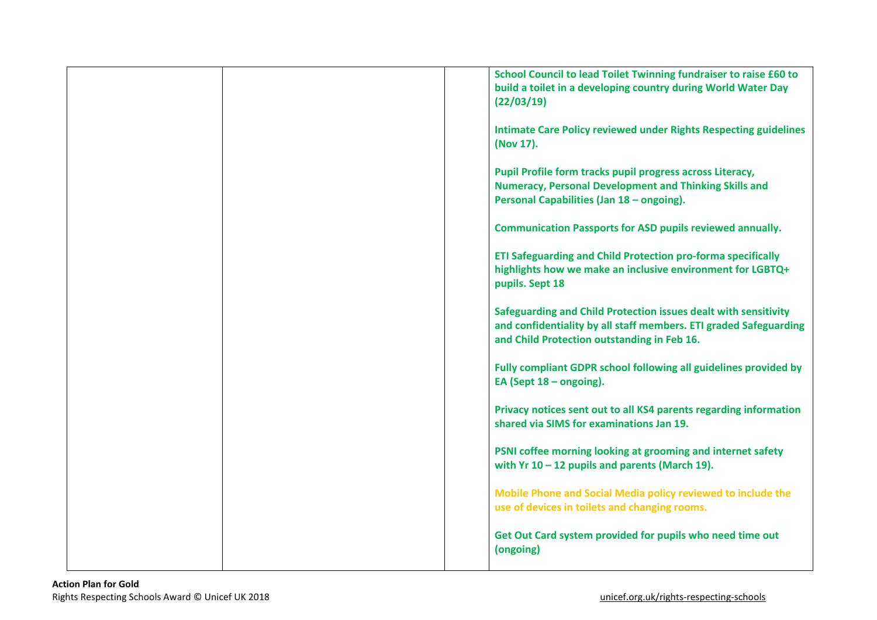| School Council to lead Toilet Twinning fundraiser to raise £60 to<br>build a toilet in a developing country during World Water Day<br>(22/03/19)                                    |
|-------------------------------------------------------------------------------------------------------------------------------------------------------------------------------------|
| <b>Intimate Care Policy reviewed under Rights Respecting guidelines</b><br>(Nov 17).                                                                                                |
| Pupil Profile form tracks pupil progress across Literacy,<br><b>Numeracy, Personal Development and Thinking Skills and</b><br>Personal Capabilities (Jan 18 - ongoing).             |
| <b>Communication Passports for ASD pupils reviewed annually.</b>                                                                                                                    |
| ETI Safeguarding and Child Protection pro-forma specifically<br>highlights how we make an inclusive environment for LGBTQ+<br>pupils. Sept 18                                       |
| Safeguarding and Child Protection issues dealt with sensitivity<br>and confidentiality by all staff members. ETI graded Safeguarding<br>and Child Protection outstanding in Feb 16. |
| Fully compliant GDPR school following all guidelines provided by<br>EA (Sept $18$ – ongoing).                                                                                       |
| Privacy notices sent out to all KS4 parents regarding information<br>shared via SIMS for examinations Jan 19.                                                                       |
| PSNI coffee morning looking at grooming and internet safety<br>with $Yr 10 - 12$ pupils and parents (March 19).                                                                     |
| Mobile Phone and Social Media policy reviewed to include the<br>use of devices in toilets and changing rooms.                                                                       |
| Get Out Card system provided for pupils who need time out<br>(ongoing)                                                                                                              |
|                                                                                                                                                                                     |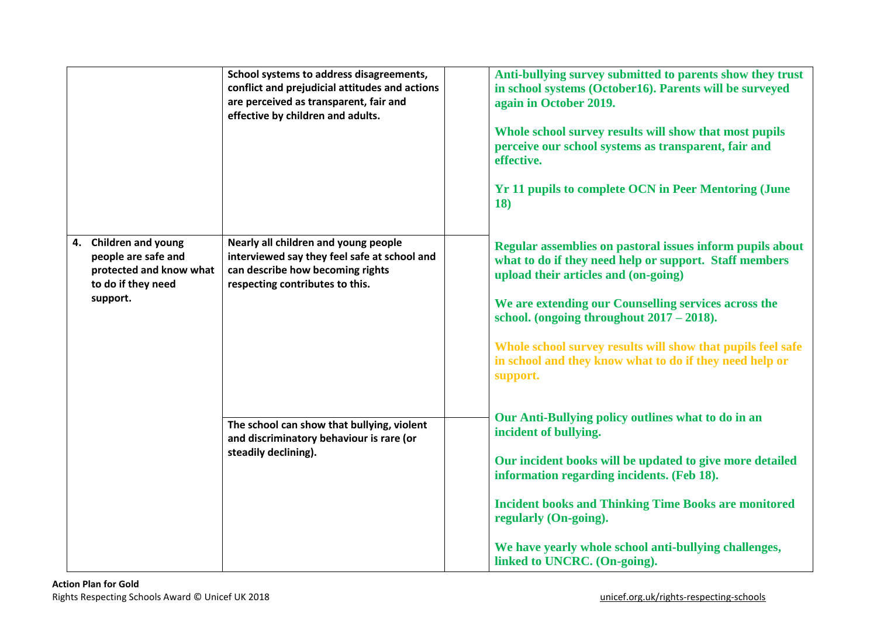|                                                                                                           | School systems to address disagreements,<br>conflict and prejudicial attitudes and actions<br>are perceived as transparent, fair and<br>effective by children and adults. | Anti-bullying survey submitted to parents show they trust<br>in school systems (October16). Parents will be surveyed<br>again in October 2019.<br>Whole school survey results will show that most pupils<br>perceive our school systems as transparent, fair and<br>effective.<br><b>Yr 11 pupils to complete OCN in Peer Mentoring (June</b><br>18)                                                      |
|-----------------------------------------------------------------------------------------------------------|---------------------------------------------------------------------------------------------------------------------------------------------------------------------------|-----------------------------------------------------------------------------------------------------------------------------------------------------------------------------------------------------------------------------------------------------------------------------------------------------------------------------------------------------------------------------------------------------------|
| 4. Children and young<br>people are safe and<br>protected and know what<br>to do if they need<br>support. | Nearly all children and young people<br>interviewed say they feel safe at school and<br>can describe how becoming rights<br>respecting contributes to this.               | Regular assemblies on pastoral issues inform pupils about<br>what to do if they need help or support. Staff members<br>upload their articles and (on-going)<br>We are extending our Counselling services across the<br>school. (ongoing throughout $2017 - 2018$ ).<br>Whole school survey results will show that pupils feel safe<br>in school and they know what to do if they need help or<br>support. |
|                                                                                                           | The school can show that bullying, violent<br>and discriminatory behaviour is rare (or<br>steadily declining).                                                            | Our Anti-Bullying policy outlines what to do in an<br>incident of bullying.<br>Our incident books will be updated to give more detailed<br>information regarding incidents. (Feb 18).<br><b>Incident books and Thinking Time Books are monitored</b><br>regularly (On-going).<br>We have yearly whole school anti-bullying challenges,<br>linked to UNCRC. (On-going).                                    |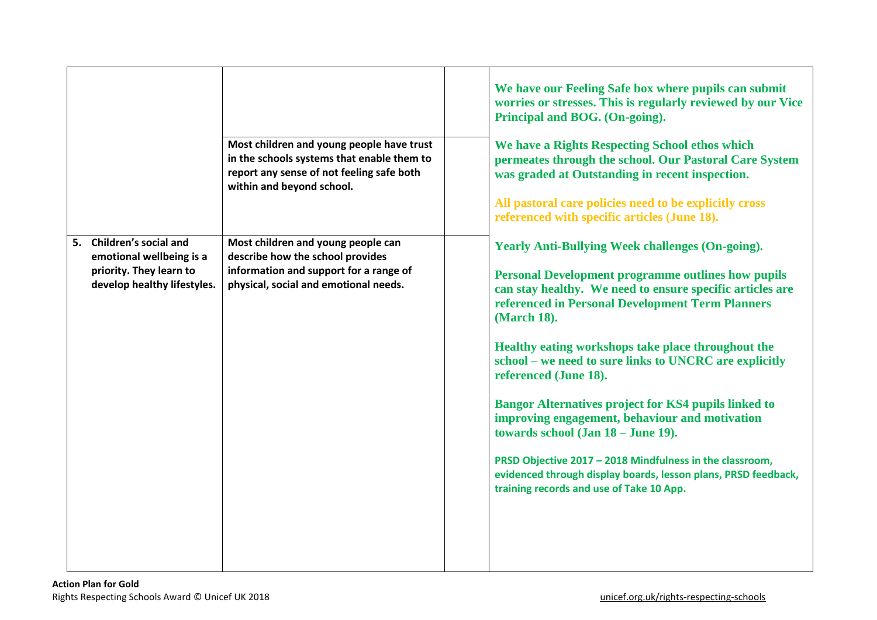|                                                                                                                | Most children and young people have trust<br>in the schools systems that enable them to<br>report any sense of not feeling safe both<br>within and beyond school. | We have our Feeling Safe box where pupils can submit<br>worries or stresses. This is regularly reviewed by our Vice<br>Principal and BOG. (On-going).<br>We have a Rights Respecting School ethos which<br>permeates through the school. Our Pastoral Care System<br>was graded at Outstanding in recent inspection.<br>All pastoral care policies need to be explicitly cross<br>referenced with specific articles (June 18).                                                                                                                                                                                                                                                                                                 |
|----------------------------------------------------------------------------------------------------------------|-------------------------------------------------------------------------------------------------------------------------------------------------------------------|--------------------------------------------------------------------------------------------------------------------------------------------------------------------------------------------------------------------------------------------------------------------------------------------------------------------------------------------------------------------------------------------------------------------------------------------------------------------------------------------------------------------------------------------------------------------------------------------------------------------------------------------------------------------------------------------------------------------------------|
| 5. Children's social and<br>emotional wellbeing is a<br>priority. They learn to<br>develop healthy lifestyles. | Most children and young people can<br>describe how the school provides<br>information and support for a range of<br>physical, social and emotional needs.         | <b>Yearly Anti-Bullying Week challenges (On-going).</b><br><b>Personal Development programme outlines how pupils</b><br>can stay healthy. We need to ensure specific articles are<br>referenced in Personal Development Term Planners<br>(March 18).<br>Healthy eating workshops take place throughout the<br>school – we need to sure links to UNCRC are explicitly<br>referenced (June 18).<br><b>Bangor Alternatives project for KS4 pupils linked to</b><br>improving engagement, behaviour and motivation<br>towards school (Jan 18 - June 19).<br>PRSD Objective 2017 - 2018 Mindfulness in the classroom,<br>evidenced through display boards, lesson plans, PRSD feedback,<br>training records and use of Take 10 App. |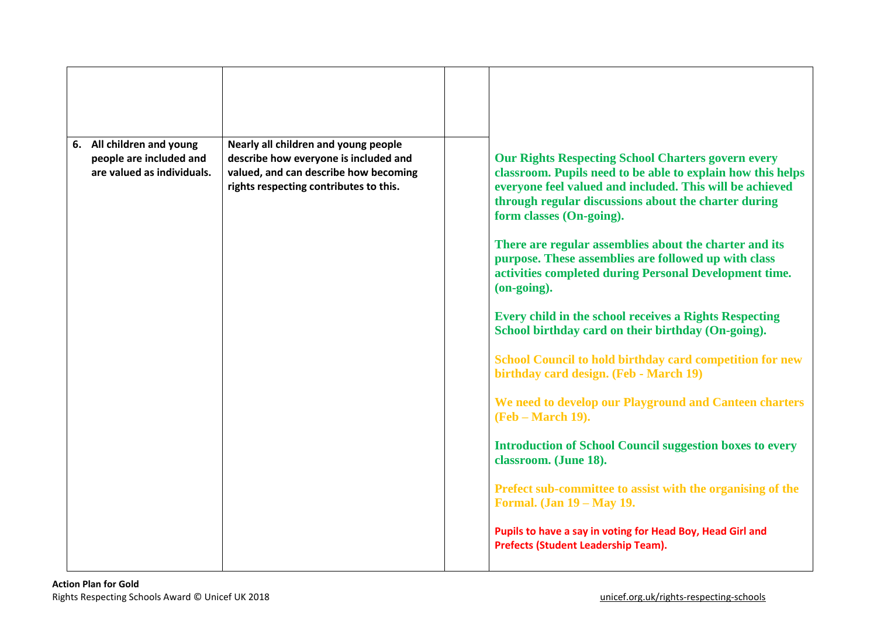| 6. All children and young<br>people are included and<br>are valued as individuals. | Nearly all children and young people<br>describe how everyone is included and<br>valued, and can describe how becoming<br>rights respecting contributes to this. | <b>Our Rights Respecting School Charters govern every</b><br>classroom. Pupils need to be able to explain how this helps<br>everyone feel valued and included. This will be achieved<br>through regular discussions about the charter during<br>form classes (On-going).<br>There are regular assemblies about the charter and its<br>purpose. These assemblies are followed up with class<br>activities completed during Personal Development time.<br>(on-going).<br><b>Every child in the school receives a Rights Respecting</b><br>School birthday card on their birthday (On-going).<br><b>School Council to hold birthday card competition for new</b><br>birthday card design. (Feb - March 19)<br>We need to develop our Playground and Canteen charters<br><b>(Feb – March 19).</b><br><b>Introduction of School Council suggestion boxes to every</b><br>classroom. (June 18).<br>Prefect sub-committee to assist with the organising of the<br><b>Formal.</b> (Jan 19 – May 19.<br>Pupils to have a say in voting for Head Boy, Head Girl and |
|------------------------------------------------------------------------------------|------------------------------------------------------------------------------------------------------------------------------------------------------------------|-----------------------------------------------------------------------------------------------------------------------------------------------------------------------------------------------------------------------------------------------------------------------------------------------------------------------------------------------------------------------------------------------------------------------------------------------------------------------------------------------------------------------------------------------------------------------------------------------------------------------------------------------------------------------------------------------------------------------------------------------------------------------------------------------------------------------------------------------------------------------------------------------------------------------------------------------------------------------------------------------------------------------------------------------------------|
|                                                                                    |                                                                                                                                                                  | <b>Prefects (Student Leadership Team).</b>                                                                                                                                                                                                                                                                                                                                                                                                                                                                                                                                                                                                                                                                                                                                                                                                                                                                                                                                                                                                                |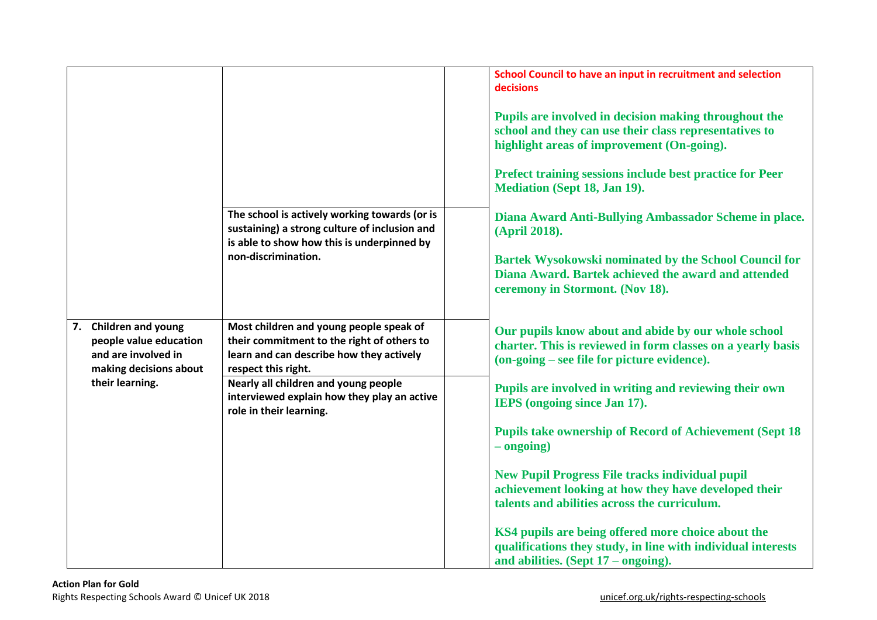|                                                                                                                     | The school is actively working towards (or is<br>sustaining) a strong culture of inclusion and<br>is able to show how this is underpinned by<br>non-discrimination.                                                                                                        | School Council to have an input in recruitment and selection<br>decisions<br>Pupils are involved in decision making throughout the<br>school and they can use their class representatives to<br>highlight areas of improvement (On-going).<br>Prefect training sessions include best practice for Peer<br><b>Mediation (Sept 18, Jan 19).</b><br>Diana Award Anti-Bullying Ambassador Scheme in place.<br>(April 2018).<br><b>Bartek Wysokowski nominated by the School Council for</b><br>Diana Award. Bartek achieved the award and attended<br>ceremony in Stormont. (Nov 18).                                                                                               |
|---------------------------------------------------------------------------------------------------------------------|----------------------------------------------------------------------------------------------------------------------------------------------------------------------------------------------------------------------------------------------------------------------------|---------------------------------------------------------------------------------------------------------------------------------------------------------------------------------------------------------------------------------------------------------------------------------------------------------------------------------------------------------------------------------------------------------------------------------------------------------------------------------------------------------------------------------------------------------------------------------------------------------------------------------------------------------------------------------|
| 7. Children and young<br>people value education<br>and are involved in<br>making decisions about<br>their learning. | Most children and young people speak of<br>their commitment to the right of others to<br>learn and can describe how they actively<br>respect this right.<br>Nearly all children and young people<br>interviewed explain how they play an active<br>role in their learning. | Our pupils know about and abide by our whole school<br>charter. This is reviewed in form classes on a yearly basis<br>(on-going – see file for picture evidence).<br>Pupils are involved in writing and reviewing their own<br>IEPS (ongoing since Jan 17).<br><b>Pupils take ownership of Record of Achievement (Sept 18)</b><br>$-$ ongoing)<br><b>New Pupil Progress File tracks individual pupil</b><br>achievement looking at how they have developed their<br>talents and abilities across the curriculum.<br>KS4 pupils are being offered more choice about the<br>qualifications they study, in line with individual interests<br>and abilities. (Sept $17$ – ongoing). |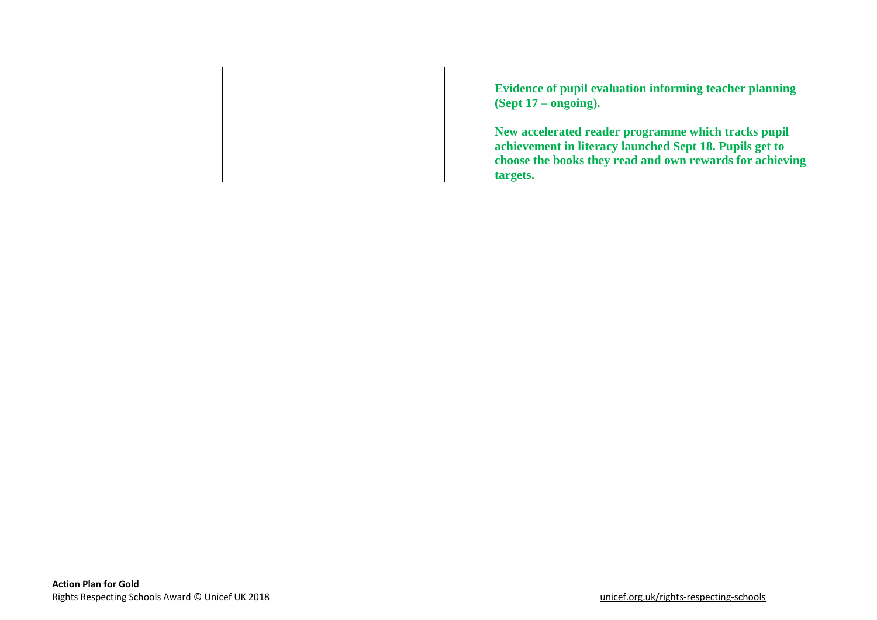|  | Evidence of pupil evaluation informing teacher planning<br>$\left($ Sept 17 – ongoing).                                                                                                |
|--|----------------------------------------------------------------------------------------------------------------------------------------------------------------------------------------|
|  | New accelerated reader programme which tracks pupil<br>achievement in literacy launched Sept 18. Pupils get to<br>choose the books they read and own rewards for achieving<br>targets. |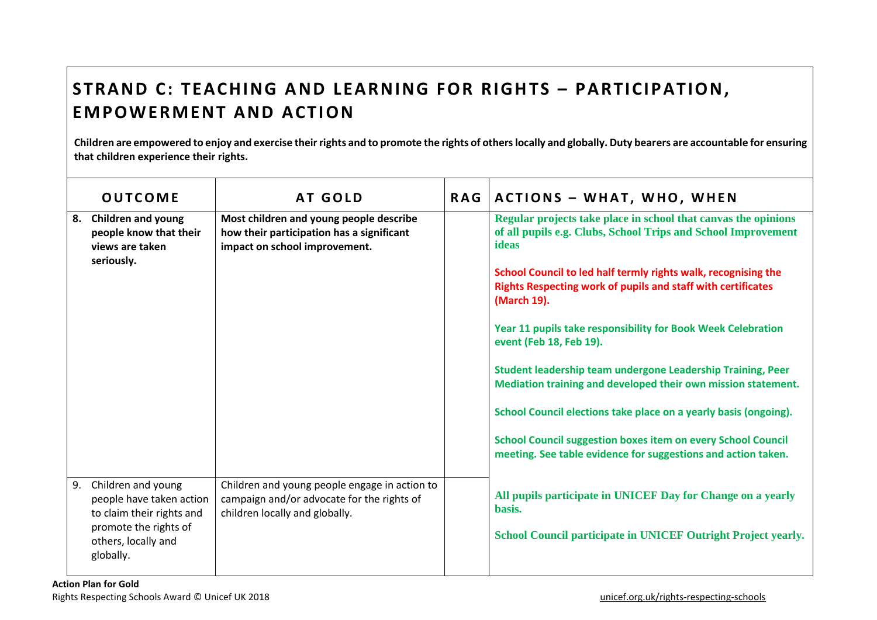## **STRAND C: TEACHING AND LEARNING FOR RIGHTS - PARTICIPATION, EMPOWERMENT AND ACTION**

**Children are empowered to enjoy and exercise their rights and to promote the rights of others locally and globally. Duty bearers are accountable for ensuring that children experience their rights.** 

|    | <b>OUTCOME</b>                                                                                                                           | <b>AT GOLD</b>                                                                                                                | <b>RAG</b> | <b>ACTIONS - WHAT, WHO, WHEN</b>                                                                                                                     |
|----|------------------------------------------------------------------------------------------------------------------------------------------|-------------------------------------------------------------------------------------------------------------------------------|------------|------------------------------------------------------------------------------------------------------------------------------------------------------|
|    | 8. Children and young<br>people know that their<br>views are taken<br>seriously.                                                         | Most children and young people describe<br>how their participation has a significant<br>impact on school improvement.         |            | Regular projects take place in school that canvas the opinions<br>of all pupils e.g. Clubs, School Trips and School Improvement<br>ideas             |
|    |                                                                                                                                          |                                                                                                                               |            | School Council to led half termly rights walk, recognising the<br><b>Rights Respecting work of pupils and staff with certificates</b><br>(March 19). |
|    |                                                                                                                                          |                                                                                                                               |            | Year 11 pupils take responsibility for Book Week Celebration<br>event (Feb 18, Feb 19).                                                              |
|    |                                                                                                                                          |                                                                                                                               |            | Student leadership team undergone Leadership Training, Peer<br>Mediation training and developed their own mission statement.                         |
|    |                                                                                                                                          |                                                                                                                               |            | School Council elections take place on a yearly basis (ongoing).                                                                                     |
|    |                                                                                                                                          |                                                                                                                               |            | <b>School Council suggestion boxes item on every School Council</b><br>meeting. See table evidence for suggestions and action taken.                 |
| 9. | Children and young<br>people have taken action<br>to claim their rights and<br>promote the rights of<br>others, locally and<br>globally. | Children and young people engage in action to<br>campaign and/or advocate for the rights of<br>children locally and globally. |            | All pupils participate in UNICEF Day for Change on a yearly<br>basis.<br>School Council participate in UNICEF Outright Project yearly.               |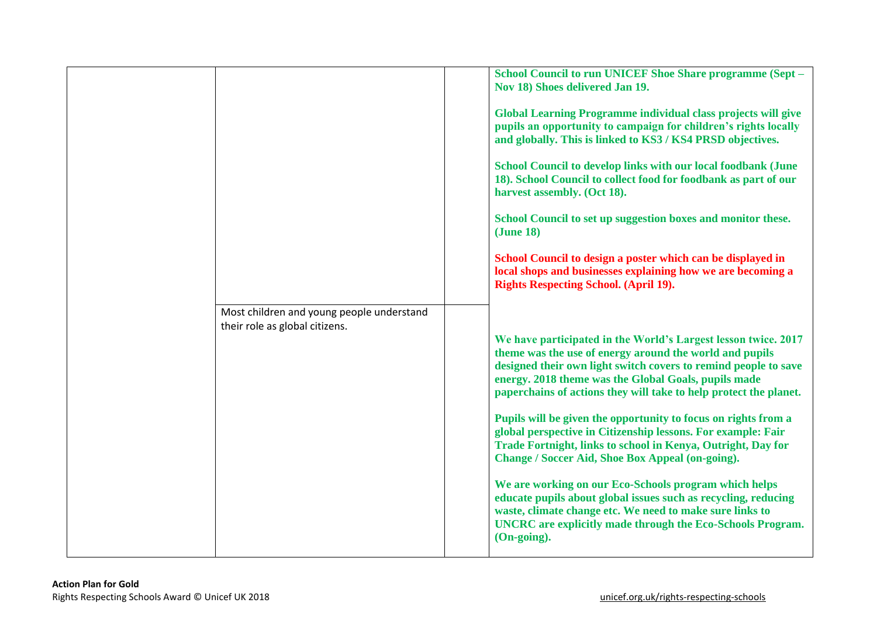| School Council to run UNICEF Shoe Share programme (Sept -<br>Nov 18) Shoes delivered Jan 19.                                                                                                                                                                                                                                                                                                                                                                                                                                                                                                                                                                                                                                                                                                                                                                                                                   |
|----------------------------------------------------------------------------------------------------------------------------------------------------------------------------------------------------------------------------------------------------------------------------------------------------------------------------------------------------------------------------------------------------------------------------------------------------------------------------------------------------------------------------------------------------------------------------------------------------------------------------------------------------------------------------------------------------------------------------------------------------------------------------------------------------------------------------------------------------------------------------------------------------------------|
| <b>Global Learning Programme individual class projects will give</b><br>pupils an opportunity to campaign for children's rights locally<br>and globally. This is linked to KS3 / KS4 PRSD objectives.                                                                                                                                                                                                                                                                                                                                                                                                                                                                                                                                                                                                                                                                                                          |
| <b>School Council to develop links with our local foodbank (June</b><br>18). School Council to collect food for foodbank as part of our<br>harvest assembly. (Oct 18).                                                                                                                                                                                                                                                                                                                                                                                                                                                                                                                                                                                                                                                                                                                                         |
| School Council to set up suggestion boxes and monitor these.<br>( <b>June 18</b> )                                                                                                                                                                                                                                                                                                                                                                                                                                                                                                                                                                                                                                                                                                                                                                                                                             |
| School Council to design a poster which can be displayed in<br>local shops and businesses explaining how we are becoming a<br><b>Rights Respecting School. (April 19).</b>                                                                                                                                                                                                                                                                                                                                                                                                                                                                                                                                                                                                                                                                                                                                     |
| Most children and young people understand<br>We have participated in the World's Largest lesson twice. 2017<br>theme was the use of energy around the world and pupils<br>designed their own light switch covers to remind people to save<br>energy. 2018 theme was the Global Goals, pupils made<br>paperchains of actions they will take to help protect the planet.<br>Pupils will be given the opportunity to focus on rights from a<br>global perspective in Citizenship lessons. For example: Fair<br>Trade Fortnight, links to school in Kenya, Outright, Day for<br><b>Change / Soccer Aid, Shoe Box Appeal (on-going).</b><br>We are working on our Eco-Schools program which helps<br>educate pupils about global issues such as recycling, reducing<br>waste, climate change etc. We need to make sure links to<br><b>UNCRC</b> are explicitly made through the Eco-Schools Program.<br>(On-going). |
|                                                                                                                                                                                                                                                                                                                                                                                                                                                                                                                                                                                                                                                                                                                                                                                                                                                                                                                |